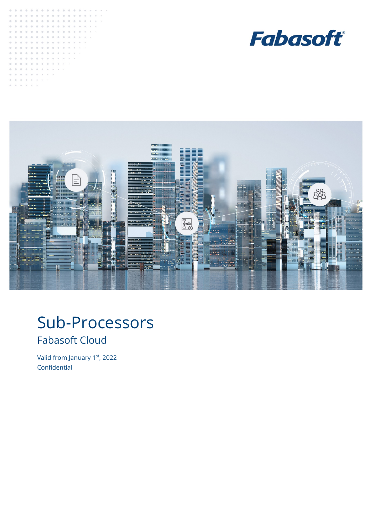





# Sub-Processors Fabasoft Cloud

<span id="page-0-0"></span>Valid from January 1st, 2022 Confidential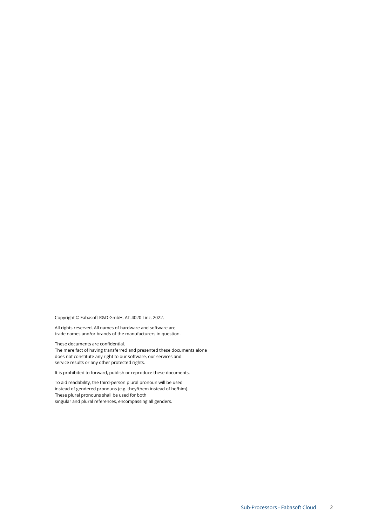Copyright © Fabasoft R&D GmbH, AT-4020 Linz, 2022.

All rights reserved. All names of hardware and software are trade names and/or brands of the manufacturers in question.

These documents ar[e confidential.](#page-0-0)

The mere fact of having transferred and presented these documents alone does not constitute any right to our software, our services and service results or any other protected rights.

It is prohibited to forward, publish or reproduce these documents.

To aid readability, the third-person plural pronoun will be used instead of gendered pronouns (e.g. they/them instead of he/him). These plural pronouns shall be used for both singular and plural references, encompassing all genders.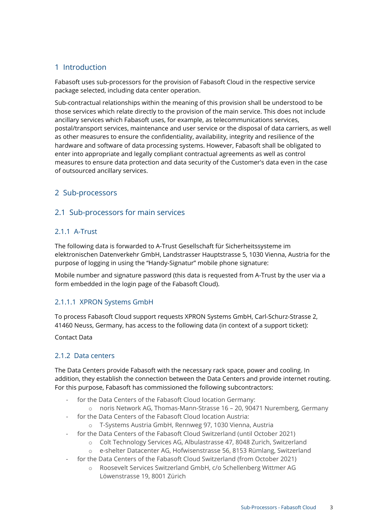# 1 Introduction

Fabasoft uses sub-processors for the provision of Fabasoft Cloud in the respective service package selected, including data center operation.

Sub-contractual relationships within the meaning of this provision shall be understood to be those services which relate directly to the provision of the main service. This does not include ancillary services which Fabasoft uses, for example, as telecommunications services, postal/transport services, maintenance and user service or the disposal of data carriers, as well as other measures to ensure the confidentiality, availability, integrity and resilience of the hardware and software of data processing systems. However, Fabasoft shall be obligated to enter into appropriate and legally compliant contractual agreements as well as control measures to ensure data protection and data security of the Customer's data even in the case of outsourced ancillary services.

# 2 Sub-processors

# 2.1 Sub-processors for main services

### 2.1.1 A-Trust

The following data is forwarded to A-Trust Gesellschaft für Sicherheitssysteme im elektronischen Datenverkehr GmbH, Landstrasser Hauptstrasse 5, 1030 Vienna, Austria for the purpose of logging in using the "Handy-Signatur" mobile phone signature:

Mobile number and signature password (this data is requested from A-Trust by the user via a form embedded in the login page of the Fabasoft Cloud).

## 2.1.1.1 XPRON Systems GmbH

To process Fabasoft Cloud support requests XPRON Systems GmbH, Carl-Schurz-Strasse 2, 41460 Neuss, Germany, has access to the following data (in context of a support ticket):

Contact Data

#### 2.1.2 Data centers

The Data Centers provide Fabasoft with the necessary rack space, power and cooling. In addition, they establish the connection between the Data Centers and provide internet routing. For this purpose, Fabasoft has commissioned the following subcontractors:

- for the Data Centers of the Fabasoft Cloud location Germany:
	- o noris Network AG, Thomas-Mann-Strasse 16 20, 90471 Nuremberg, Germany
- for the Data Centers of the Fabasoft Cloud location Austria:
	- o T-Systems Austria GmbH, Rennweg 97, 1030 Vienna, Austria
	- for the Data Centers of the Fabasoft Cloud Switzerland (until October 2021)
		- o Colt Technology Services AG, Albulastrasse 47, 8048 Zurich, Switzerland
		- o e-shelter Datacenter AG, Hofwisenstrasse 56, 8153 Rümlang, Switzerland
- for the Data Centers of the Fabasoft Cloud Switzerland (from October 2021)
	- o Roosevelt Services Switzerland GmbH, c/o Schellenberg Wittmer AG Löwenstrasse 19, 8001 Zürich